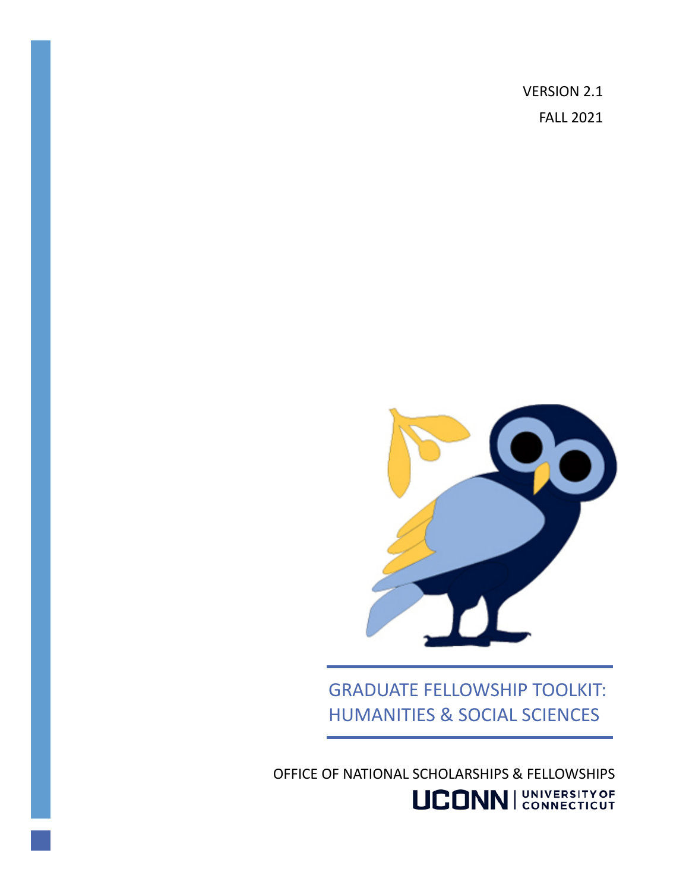VERSION 2.1 FALL 2021



GRADUATE FELLOWSHIP TOOLKIT: HUMANITIES & SOCIAL SCIENCES

OFFICE OF NATIONAL SCHOLARSHIPS & FELLOWSHIPS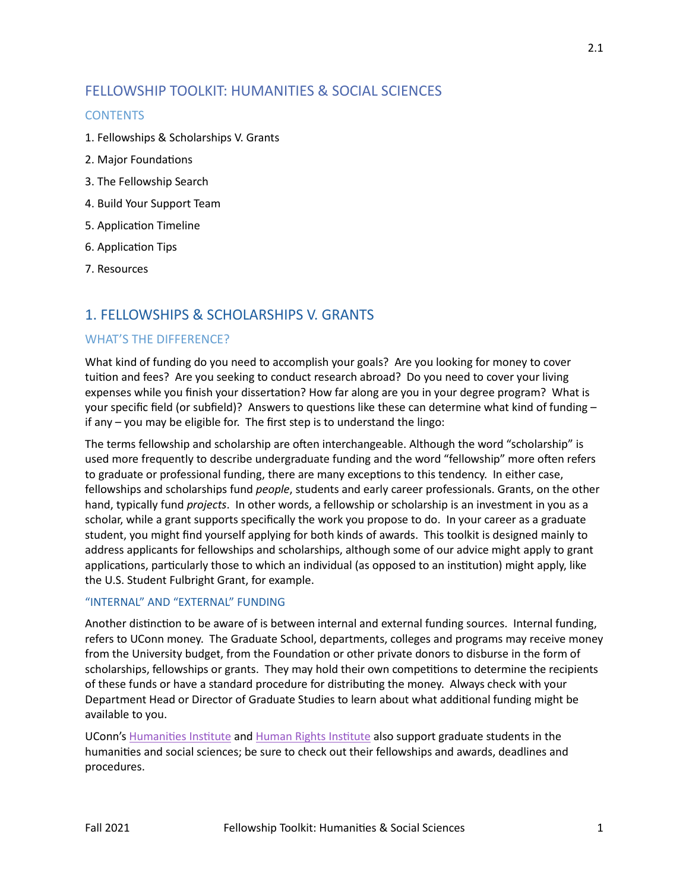# FELLOWSHIP TOOLKIT: HUMANITIES & SOCIAL SCIENCES

## **CONTENTS**

- 1. Fellowships & Scholarships V. Grants
- 2. Major Foundations
- 3. The Fellowship Search
- 4. Build Your Support Team
- 5. Application Timeline
- 6. Application Tips
- 7. Resources

# 1. FELLOWSHIPS & SCHOLARSHIPS V. GRANTS

## WHAT'S THE DIFFERENCE?

What kind of funding do you need to accomplish your goals? Are you looking for money to cover tuition and fees? Are you seeking to conduct research abroad? Do you need to cover your living expenses while you finish your dissertation? How far along are you in your degree program? What is your specific field (or subfield)? Answers to questions like these can determine what kind of funding if any – you may be eligible for. The first step is to understand the lingo:

The terms fellowship and scholarship are often interchangeable. Although the word "scholarship" is used more frequently to describe undergraduate funding and the word "fellowship" more o�en refers to graduate or professional funding, there are many exceptions to this tendency. In either case, fellowships and scholarships fund *people*, students and early career professionals. Grants, on the other hand, typically fund *projects*. In other words, a fellowship or scholarship is an investment in you as a scholar, while a grant supports specifically the work you propose to do. In your career as a graduate student, you might find yourself applying for both kinds of awards. This toolkit is designed mainly to address applicants for fellowships and scholarships, although some of our advice might apply to grant applications, particularly those to which an individual (as opposed to an institution) might apply, like the U.S. Student Fulbright Grant, for example.

## "INTERNAL" AND "EXTERNAL" FUNDING

Another distinction to be aware of is between internal and external funding sources. Internal funding, refers to UConn money. The Graduate School, departments, colleges and programs may receive money from the University budget, from the Foundation or other private donors to disburse in the form of scholarships, fellowships or grants. They may hold their own competitions to determine the recipients of these funds or have a standard procedure for distributing the money. Always check with your Department Head or Director of Graduate Studies to learn about what additional funding might be available to you.

UConn's Humanities Institute and Human Rights Institute also support graduate students in the humanities and social sciences; be sure to check out their fellowships and awards, deadlines and procedures.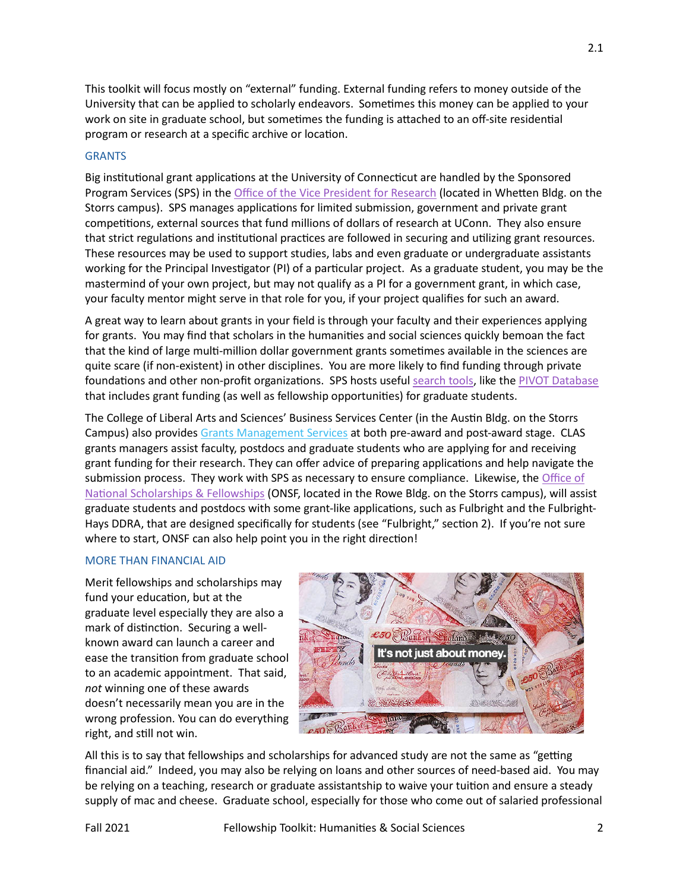This toolkit will focus mostly on "external" funding. External funding refers to money outside of the University that can be applied to scholarly endeavors. Sometimes this money can be applied to your work on site in graduate school, but sometimes the funding is attached to an off-site residential program or research at a specific archive or location.

## **GRANTS**

Big institutional grant applications at the University of Connecticut are handled by the Sponsored Program Services (SPS) in the [Office of the Vice President for Research](http://research.uconn.edu/) (located in Wheten Bldg. on the Storrs campus). SPS manages applications for limited submission, government and private grant competitions, external sources that fund millions of dollars of research at UConn. They also ensure that strict regulations and institutional practices are followed in securing and utilizing grant resources. These resources may be used to support studies, labs and even graduate or undergraduate assistants working for the Principal Investigator (PI) of a particular project. As a graduate student, you may be the mastermind of your own project, but may not qualify as a PI for a government grant, in which case, your faculty mentor might serve in that role for you, if your project qualifies for such an award.

A great way to learn about grants in your field is through your faculty and their experiences applying for grants. You may find that scholars in the humani�es and social sciences quickly bemoan the fact that the kind of large multi-million dollar government grants sometimes available in the sciences are quite scare (if non-existent) in other disciplines. You are more likely to find funding through private foundations and other non-profit organizations. SPS hosts useful [search tools,](https://ovpr.uconn.edu/services/research-development/research-resources/) like the [PIVOT Database](https://rdl.lib.uconn.edu/databases/1733) that includes grant funding (as well as fellowship opportuni�es) for graduate students.

The College of Liberal Arts and Sciences' Business Services Center (in the Austin Bldg. on the Storrs Campus) also provides [Grants Management Services](http://bsc.clas.uconn.edu/grants/) at both pre-award and post-award stage. CLAS grants managers assist faculty, postdocs and graduate students who are applying for and receiving grant funding for their research. They can offer advice of preparing applications and help navigate the submission process. They work with SPS as necessary to ensure compliance. Likewise, th[e Office of](http://www.onsf.uconn.edu/)  National Scholarships & Fellowships (ONSF, located in the Rowe Bldg. on the Storrs campus), will assist graduate students and postdocs with some grant-like applications, such as Fulbright and the Fulbright-Hays DDRA, that are designed specifically for students (see "Fulbright," section 2). If you're not sure where to start, ONSF can also help point you in the right direction!

### MORE THAN FINANCIAL AID

Merit fellowships and scholarships may fund your education, but at the graduate level especially they are also a mark of distinction. Securing a wellknown award can launch a career and ease the transition from graduate school to an academic appointment. That said, *not* winning one of these awards doesn't necessarily mean you are in the wrong profession. You can do everything right, and still not win.



All this is to say that fellowships and scholarships for advanced study are not the same as "getting financial aid." Indeed, you may also be relying on loans and other sources of need-based aid. You may be relying on a teaching, research or graduate assistantship to waive your tuition and ensure a steady supply of mac and cheese. Graduate school, especially for those who come out of salaried professional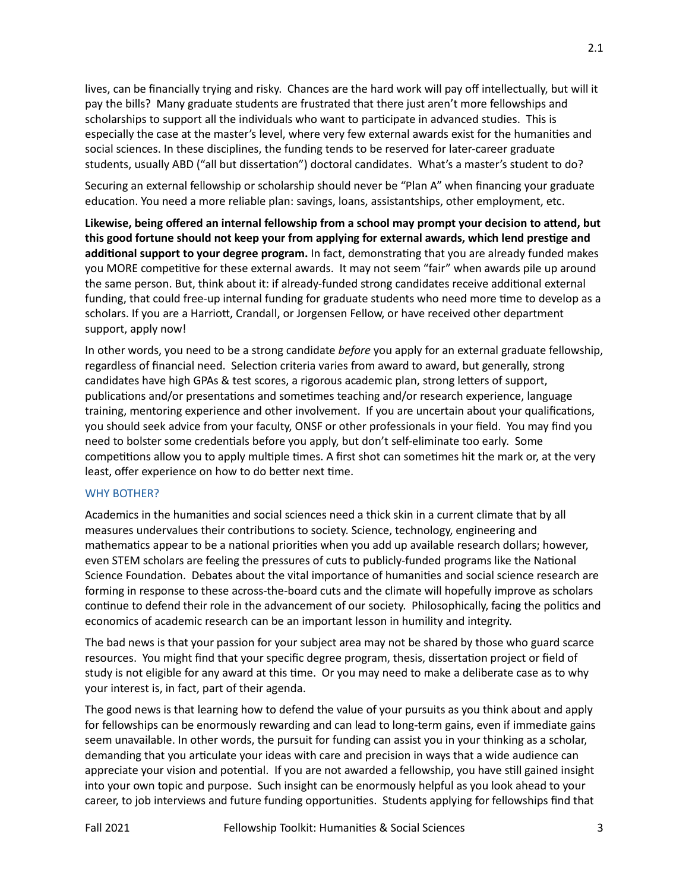lives, can be financially trying and risky. Chances are the hard work will pay off intellectually, but will it pay the bills? Many graduate students are frustrated that there just aren't more fellowships and scholarships to support all the individuals who want to participate in advanced studies. This is especially the case at the master's level, where very few external awards exist for the humanities and social sciences. In these disciplines, the funding tends to be reserved for later-career graduate students, usually ABD ("all but dissertation") doctoral candidates. What's a master's student to do?

Securing an external fellowship or scholarship should never be "Plan A" when financing your graduate education. You need a more reliable plan: savings, loans, assistantships, other employment, etc.

**Likewise, being offered an internal fellowship from a school may prompt your decision to atend, but this good fortune should not keep your from applying for external awards, which lend pres�ge and**  additional support to your degree program. In fact, demonstrating that you are already funded makes you MORE competitive for these external awards. It may not seem "fair" when awards pile up around the same person. But, think about it: if already-funded strong candidates receive additional external funding, that could free-up internal funding for graduate students who need more time to develop as a scholars. If you are a Harriott, Crandall, or Jorgensen Fellow, or have received other department support, apply now!

In other words, you need to be a strong candidate *before* you apply for an external graduate fellowship, regardless of financial need. Selection criteria varies from award to award, but generally, strong candidates have high GPAs & test scores, a rigorous academic plan, strong letters of support, publications and/or presentations and sometimes teaching and/or research experience, language training, mentoring experience and other involvement. If you are uncertain about your qualifications, you should seek advice from your faculty, ONSF or other professionals in your field. You may find you need to bolster some credentials before you apply, but don't self-eliminate too early. Some competitions allow you to apply multiple times. A first shot can sometimes hit the mark or, at the very least, offer experience on how to do better next time.

#### WHY BOTHER?

Academics in the humanities and social sciences need a thick skin in a current climate that by all measures undervalues their contributions to society. Science, technology, engineering and mathematics appear to be a national priorities when you add up available research dollars; however, even STEM scholars are feeling the pressures of cuts to publicly-funded programs like the National Science Foundation. Debates about the vital importance of humanities and social science research are forming in response to these across-the-board cuts and the climate will hopefully improve as scholars continue to defend their role in the advancement of our society. Philosophically, facing the politics and economics of academic research can be an important lesson in humility and integrity.

The bad news is that your passion for your subject area may not be shared by those who guard scarce resources. You might find that your specific degree program, thesis, dissertation project or field of study is not eligible for any award at this time. Or you may need to make a deliberate case as to why your interest is, in fact, part of their agenda.

The good news is that learning how to defend the value of your pursuits as you think about and apply for fellowships can be enormously rewarding and can lead to long-term gains, even if immediate gains seem unavailable. In other words, the pursuit for funding can assist you in your thinking as a scholar, demanding that you articulate your ideas with care and precision in ways that a wide audience can appreciate your vision and potential. If you are not awarded a fellowship, you have still gained insight into your own topic and purpose. Such insight can be enormously helpful as you look ahead to your career, to job interviews and future funding opportuni�es. Students applying for fellowships find that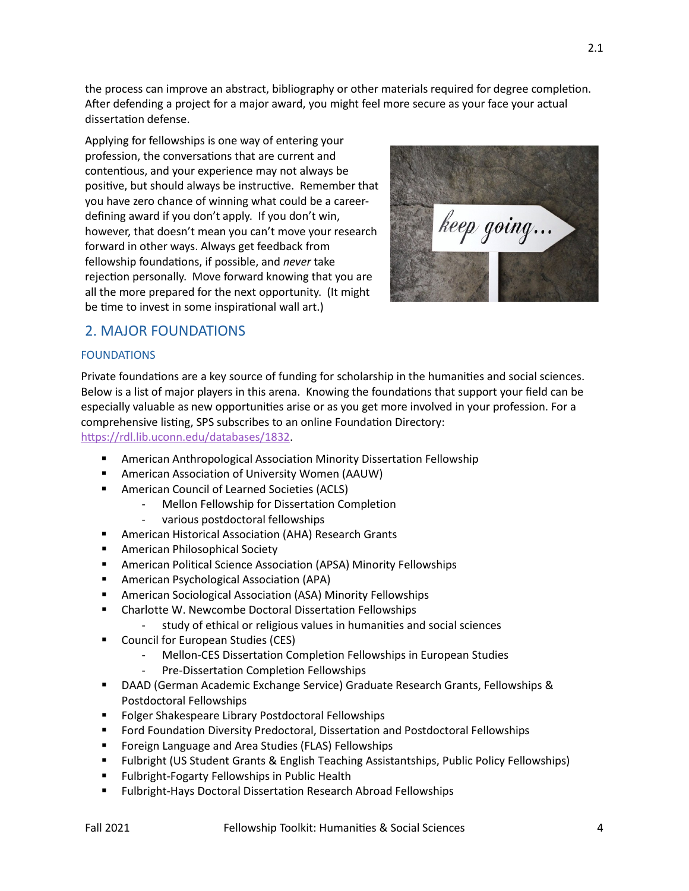the process can improve an abstract, bibliography or other materials required for degree completion. A�er defending a project for a major award, you might feel more secure as your face your actual dissertation defense.

Applying for fellowships is one way of entering your profession, the conversations that are current and contentious, and your experience may not always be positive, but should always be instructive. Remember that you have zero chance of winning what could be a careerdefining award if you don't apply. If you don't win, however, that doesn't mean you can't move your research forward in other ways. Always get feedback from fellowship foundations, if possible, and *never* take rejection personally. Move forward knowing that you are all the more prepared for the next opportunity. (It might be time to invest in some inspirational wall art.)



## 2. MAJOR FOUNDATIONS

## FOUNDATIONS

Private foundations are a key source of funding for scholarship in the humanities and social sciences. Below is a list of major players in this arena. Knowing the foundations that support your field can be especially valuable as new opportuni�es arise or as you get more involved in your profession. For a comprehensive listing, SPS subscribes to an online Foundation Directory: https://rdl.lib.uconn.edu/databases/1832.

- **E** American Anthropological Association Minority Dissertation Fellowship
- American Association of University Women (AAUW)
- **American Council of Learned Societies (ACLS)** 
	- Mellon Fellowship for Dissertation Completion
	- various postdoctoral fellowships
- American Historical Association (AHA) Research Grants
- **American Philosophical Society**
- American Political Science Association (APSA) Minority Fellowships
- American Psychological Association (APA)
- American Sociological Association (ASA) Minority Fellowships
- **EXECUTE:** Charlotte W. Newcombe Doctoral Dissertation Fellowships
	- study of ethical or religious values in humanities and social sciences
- **Council for European Studies (CES)** 
	- Mellon-CES Dissertation Completion Fellowships in European Studies
	- Pre-Dissertation Completion Fellowships
- DAAD (German Academic Exchange Service) Graduate Research Grants, Fellowships & Postdoctoral Fellowships
- **Fig. 2** Folger Shakespeare Library Postdoctoral Fellowships
- Ford Foundation Diversity Predoctoral, Dissertation and Postdoctoral Fellowships
- Foreign Language and Area Studies (FLAS) Fellowships
- **FILLAT 4.5 THST INTER IS ASSET ASSET IS A STARK IN ASSET ASSET IS A STARK THEORY FELLOWSHIPS) F** Thubriships)
- Fulbright-Fogarty Fellowships in Public Health
- Fulbright-Hays Doctoral Dissertation Research Abroad Fellowships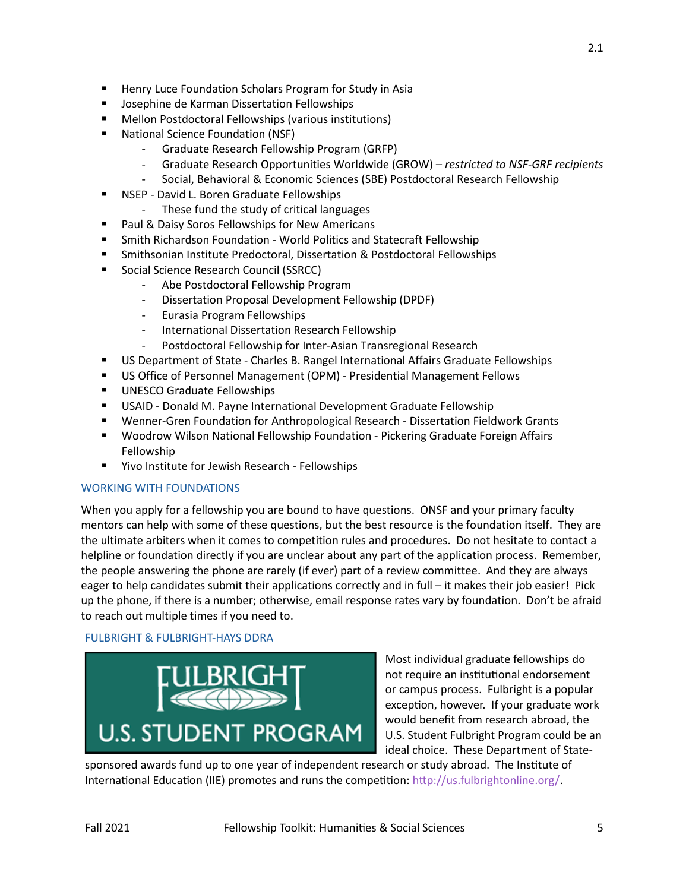- **Josephine de Karman Dissertation Fellowships**
- Mellon Postdoctoral Fellowships (various institutions)
- National Science Foundation (NSF)
	- Graduate Research Fellowship Program (GRFP)
	- Graduate Research Opportunities Worldwide (GROW) *restricted to NSF-GRF recipients*
	- Social, Behavioral & Economic Sciences (SBE) Postdoctoral Research Fellowship
- NSEP David L. Boren Graduate Fellowships
	- These fund the study of critical languages
- **Paul & Daisy Soros Fellowships for New Americans**
- **Smith Richardson Foundation World Politics and Statecraft Fellowship**
- Smithsonian Institute Predoctoral, Dissertation & Postdoctoral Fellowships
- Social Science Research Council (SSRCC)
	- Abe Postdoctoral Fellowship Program
	- Dissertation Proposal Development Fellowship (DPDF)
	- Eurasia Program Fellowships
	- International Dissertation Research Fellowship
	- Postdoctoral Fellowship for Inter-Asian Transregional Research
- US Department of State Charles B. Rangel International Affairs Graduate Fellowships
- US Office of Personnel Management (OPM) Presidential Management Fellows
- **UNESCO Graduate Fellowships**
- USAID Donald M. Payne International Development Graduate Fellowship
- Wenner-Gren Foundation for Anthropological Research Dissertation Fieldwork Grants
- Woodrow Wilson National Fellowship Foundation Pickering Graduate Foreign Affairs Fellowship
- **EXECT:** Yivo Institute for Jewish Research Fellowships

## WORKING WITH FOUNDATIONS

When you apply for a fellowship you are bound to have questions. ONSF and your primary faculty mentors can help with some of these questions, but the best resource is the foundation itself. They are the ultimate arbiters when it comes to competition rules and procedures. Do not hesitate to contact a helpline or foundation directly if you are unclear about any part of the application process. Remember, the people answering the phone are rarely (if ever) part of a review committee. And they are always eager to help candidates submit their applications correctly and in full – it makes their job easier! Pick up the phone, if there is a number; otherwise, email response rates vary by foundation. Don't be afraid to reach out multiple times if you need to.

## FULBRIGHT & FULBRIGHT-HAYS DDRA



Most individual graduate fellowships do not require an institutional endorsement or campus process. Fulbright is a popular exception, however. If your graduate work would benefit from research abroad, the U.S. Student Fulbright Program could be an ideal choice. These Department of State-

sponsored awards fund up to one year of independent research or study abroad. The Institute of International Education (IIE) promotes and runs the competition: http://us.fulbrightonline.org/.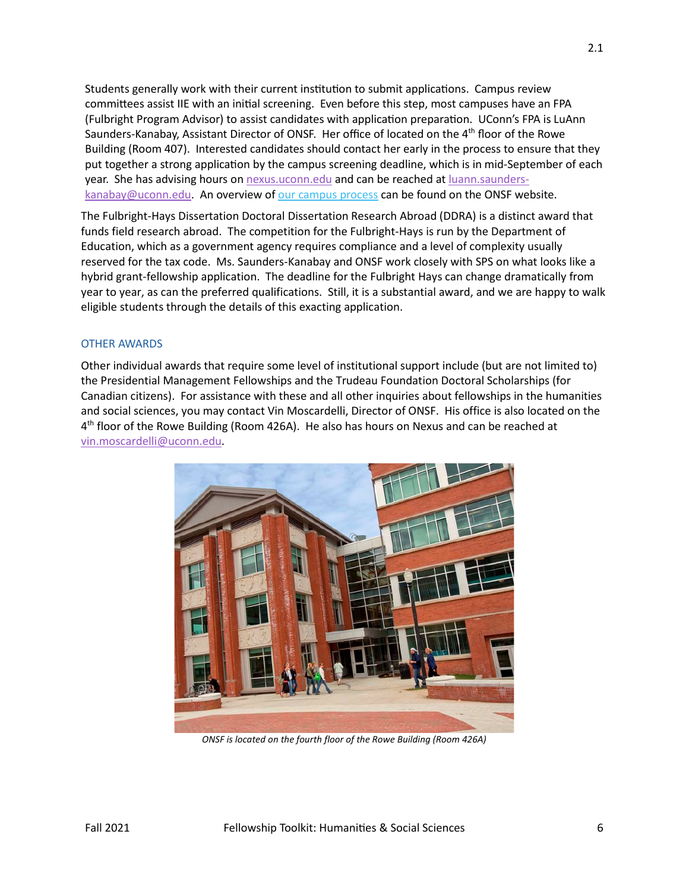Students generally work with their current institution to submit applications. Campus review committees assist IIE with an initial screening. Even before this step, most campuses have an FPA (Fulbright Program Advisor) to assist candidates with application preparation. UConn's FPA is LuAnn Saunders-Kanabay, Assistant Director of ONSF. Her office of located on the  $4<sup>th</sup>$  floor of the Rowe Building (Room 407). Interested candidates should contact her early in the process to ensure that they put together a strong application by the campus screening deadline, which is in mid-September of each year. She has advising hours on [nexus.uconn.edu](https://nexus.uconn.edu/) and can be reached a[t luann.saunders](mailto:luann.saunders-kanabay@uconn.edu)[kanabay@uconn.edu.](mailto:luann.saunders-kanabay@uconn.edu) An overview of [our campus process](http://www.onsf.uconn.edu/find-scholarships/sample-page/fulbright-u-s-student-program/) can be found on the ONSF website.

The Fulbright-Hays Dissertation Doctoral Dissertation Research Abroad (DDRA) is a distinct award that funds field research abroad. The competition for the Fulbright-Hays is run by the Department of Education, which as a government agency requires compliance and a level of complexity usually reserved for the tax code. Ms. Saunders-Kanabay and ONSF work closely with SPS on what looks like a hybrid grant-fellowship application. The deadline for the Fulbright Hays can change dramatically from year to year, as can the preferred qualifications. Still, it is a substantial award, and we are happy to walk eligible students through the details of this exacting application.

#### OTHER AWARDS

Other individual awards that require some level of institutional support include (but are not limited to) the Presidential Management Fellowships and the Trudeau Foundation Doctoral Scholarships (for Canadian citizens). For assistance with these and all other inquiries about fellowships in the humanities and social sciences, you may contact Vin Moscardelli, Director of ONSF. His office is also located on the 4th floor of the Rowe Building (Room 426A). He also has hours on Nexus and can be reached at [vin.moscardelli@uconn.edu](mailto:vin.moscardelli@uconn.edu).



*ONSF is located on the fourth floor of the Rowe Building (Room 426A)*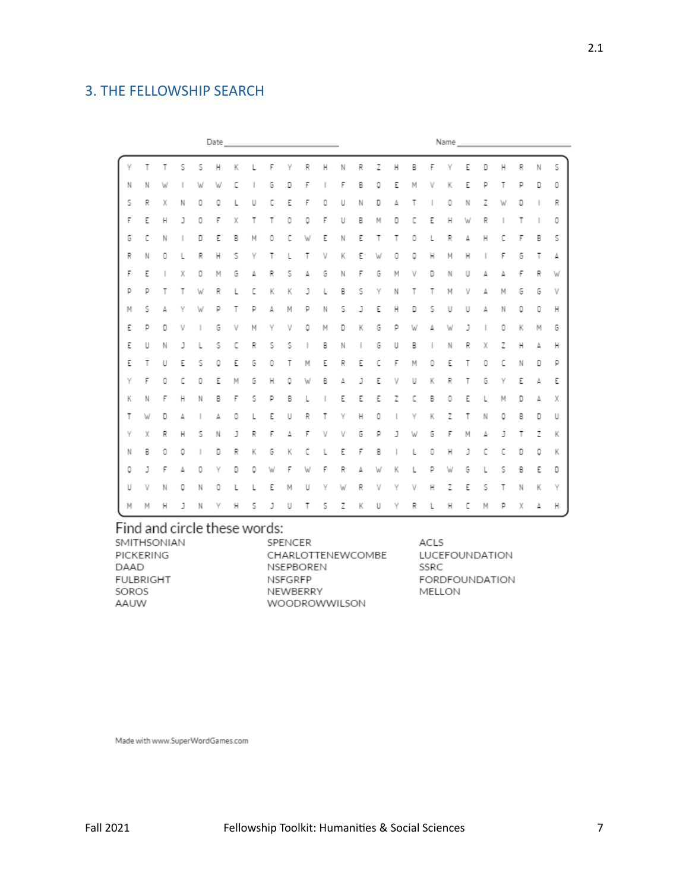# 3. THE FELLOWSHIP SEARCH

| Date |   |   |    |   |   |   |   | Name |   |    |   |   |    |   |   |   |   |   |   |   |   |   |    |   |
|------|---|---|----|---|---|---|---|------|---|----|---|---|----|---|---|---|---|---|---|---|---|---|----|---|
|      | Т | т | 5  | s | н | K |   | F    | ٧ | R  | н |   | R  | 7 | Н | В | р |   | Ε | D | н | R | Ν  | 5 |
| N    | N | W |    | W | W | c |   | G    | D | F  |   | F | В  | ٥ | Ε | М | V | Κ | Ε | р | т | р | D  | 0 |
| s    | R | X | Ν  | 0 | ٥ |   | U | с    | E | F  | 0 | U | Ν  | D | Δ |   |   | 0 | N | Z | W | D |    | R |
| F    | E | н | J  | 0 | F | X | т | т    | 0 | ٥  | F | U | В  | м | D | с | Ε | н | W | R |   | Т | ı. | 0 |
| G    | c | Ν |    | D | ε | В | M | 0    | с |    | Ε | Ν | ε  | т | т | Ω |   | R | Δ | н | с | F | В  | 5 |
| R    | Ν | 0 | L  | R | Н | 5 | Υ | т    |   | т  | V | Κ | Ε  | W | ٥ | ٥ | н | M | н |   | F | G | т  | А |
| F    | E |   | X  | 0 | M | G | Δ | R    | s | Δ  | G | Ν | F  | G | М | v | n | Ν | U | Δ | Δ | F | R  | W |
| р    | р | т | т  | W | R | L | с | К    | К | J  |   | В | 5  | ٧ | Ν |   |   | М | v | д | м | G | G  | V |
| M    | s | Δ | ٧  | W | p | т | D | Δ    | M | р  | N | 5 | J  | Ε | Н | D | s | U | U | Δ | N | 0 | 0  | Н |
| E    | D | D | v  |   | G | V | M | γ    | V | ٥  | M | D | K  | G | D | W | Δ | W | J |   | 0 | К | M  | G |
| E    | U | N | J. | L | 5 | c | R | s    | s | ı. | В | N | ı. | G | U | В |   | N | R | χ | Z | Н | Δ  | Н |
| E    | Т | U | Ε  | 5 | ٥ | E | G | 0    | т | м  | Ε | R | Ε  | c | F | M | ٥ | E | т | 0 | С | N | D  | р |
| γ    | F | 0 | c  | 0 | Ε | M | G | н    | ٥ | W  | В | Δ | ı  | Ε | V | U | κ | R | т | G | γ | Ε | Δ  | Е |
| К    | N | F | н  | N | В | F | s | p    | B |    |   | E | Ε  | Е | Z | с | B | Ω | E |   | M | D | Δ  | Х |
| Т    | W | D | Δ  |   | Δ | ٥ | L | Ε    | U | R  | т | ٧ | н  | 0 |   | γ | κ | Z | Т | Ν | ٥ | В | D  | U |
| Υ    | X | R | Н  | s | N | J | R | F    | Δ | F  | ν | v | G  | p | ı | W | G | F | М | Δ | 1 | т | Z  | К |
| Ν    | В | 0 | ٥  |   | D | R | К | G    | К | ٢  |   | Ε | F  | В |   |   | ٥ | н | J | ٢ | ٢ | D | ٥  | К |
| 0    | J | F | Δ  | ٥ | Υ | D | ٥ | W    | F | W  | F | R | Δ  | W | к |   | D | W | G | L | s | B | Ε  | D |
| U    | v | Ν | ٥  | Ν | 0 |   | L | E    | М | U  | v |   | R  | V | ٧ | v | н | Z | E | s | т | N | К  | Y |
| M    | м | н | J  | Ν | γ | н | s | J    | U | т  | s | z | K  | U | γ | R |   | н | с | м | р | Х |    | н |

# Find and circle these words:

| SMITHSONIAN | SPENCER              | A  |
|-------------|----------------------|----|
| PICKERING   | CHARLOTTENEWCOMBE    | Н. |
| DAAD        | <b>NSEPBOREN</b>     | SS |
| FULBRIGHT   | NSFGRFP              | F  |
| SOROS       | NEWBERRY             | М  |
| AAUW        | <b>WOODROWWILSON</b> |    |
|             |                      |    |

CLS **UCEFOUNDATION** SRC ORDFOUNDATION **IELLON** 

Made with www.SuperWordGames.com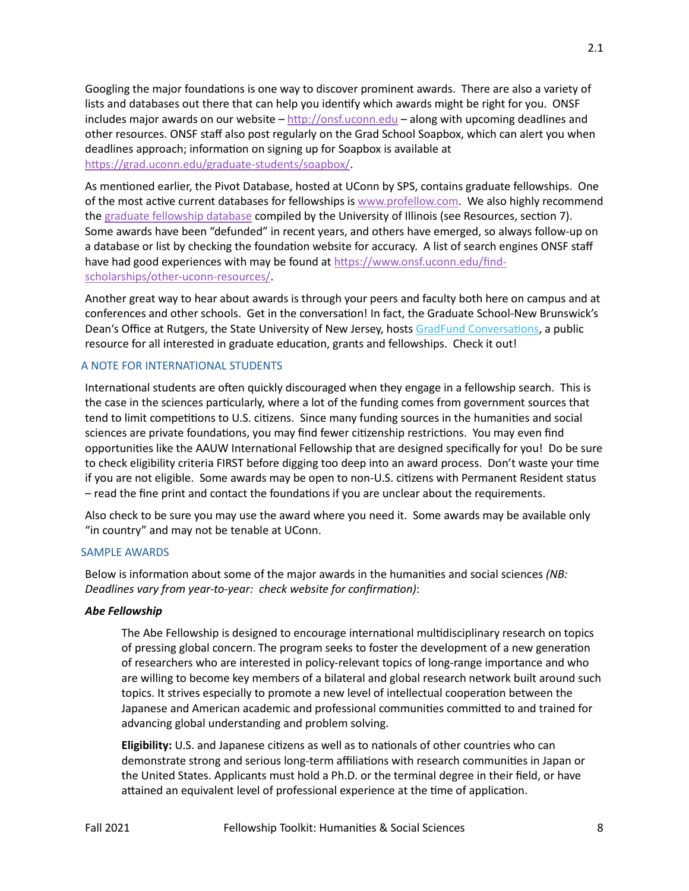Googling the major foundations is one way to discover prominent awards. There are also a variety of lists and databases out there that can help you identify which awards might be right for you. ONSF includes major awards on our website – [htp://onsf.uconn.edu](http://onsf.uconn.edu/) – along with upcoming deadlines and other resources. ONSF staff also post regularly on the Grad School Soapbox, which can alert you when deadlines approach; information on signing up for Soapbox is available at [htps://grad.uconn.edu/graduate](https://grad.uconn.edu/graduate-students/soapbox/)-students/soapbox/.

As mentioned earlier, the Pivot Database, hosted at UConn by SPS, contains graduate fellowships. One of the most active current databases for fellowships is [www.profellow.com.](http://www.profellow.com/) We also highly recommend the [graduate fellowship database](https://apps.grad.illinois.edu/fellowship-finder/) compiled by the University of Illinois (see Resources, section 7). Some awards have been "defunded" in recent years, and others have emerged, so always follow-up on a database or list by checking the foundation website for accuracy. A list of search engines ONSF staff have had good experiences with may be found at [htps://www.onsf.uconn.edu/find](https://www.onsf.uconn.edu/find-scholarships/other-uconn-resources/)[scholarships/other](https://www.onsf.uconn.edu/find-scholarships/other-uconn-resources/)-uconn-resources/.

Another great way to hear about awards is through your peers and faculty both here on campus and at conferences and other schools. Get in the conversation! In fact, the Graduate School-New Brunswick's Dean's Office at Rutgers, the State University of New Jersey, hosts GradFund Conversations, a public resource for all interested in graduate education, grants and fellowships. Check it out!

### A NOTE FOR INTERNATIONAL STUDENTS

International students are often quickly discouraged when they engage in a fellowship search. This is the case in the sciences particularly, where a lot of the funding comes from government sources that tend to limit competitions to U.S. citizens. Since many funding sources in the humanities and social sciences are private foundations, you may find fewer citizenship restrictions. You may even find opportunities like the AAUW International Fellowship that are designed specifically for you! Do be sure to check eligibility criteria FIRST before digging too deep into an award process. Don't waste your time if you are not eligible. Some awards may be open to non-U.S. citizens with Permanent Resident status – read the fine print and contact the founda�ons if you are unclear about the requirements.

Also check to be sure you may use the award where you need it. Some awards may be available only "in country" and may not be tenable at UConn.

#### SAMPLE AWARDS

Below is information about some of the major awards in the humanities and social sciences *(NB: Deadlines vary from year-to-year: check website for confirmation)*:

#### *Abe Fellowship*

The Abe Fellowship is designed to encourage international multidisciplinary research on topics of pressing global concern. The program seeks to foster the development of a new generation of researchers who are interested in policy-relevant topics of long-range importance and who are willing to become key members of a bilateral and global research network built around such topics. It strives especially to promote a new level of intellectual cooperation between the Japanese and American academic and professional communi�es commited to and trained for advancing global understanding and problem solving.

**Eligibility:** U.S. and Japanese citizens as well as to nationals of other countries who can demonstrate strong and serious long-term affiliations with research communities in Japan or the United States. Applicants must hold a Ph.D. or the terminal degree in their field, or have attained an equivalent level of professional experience at the time of application.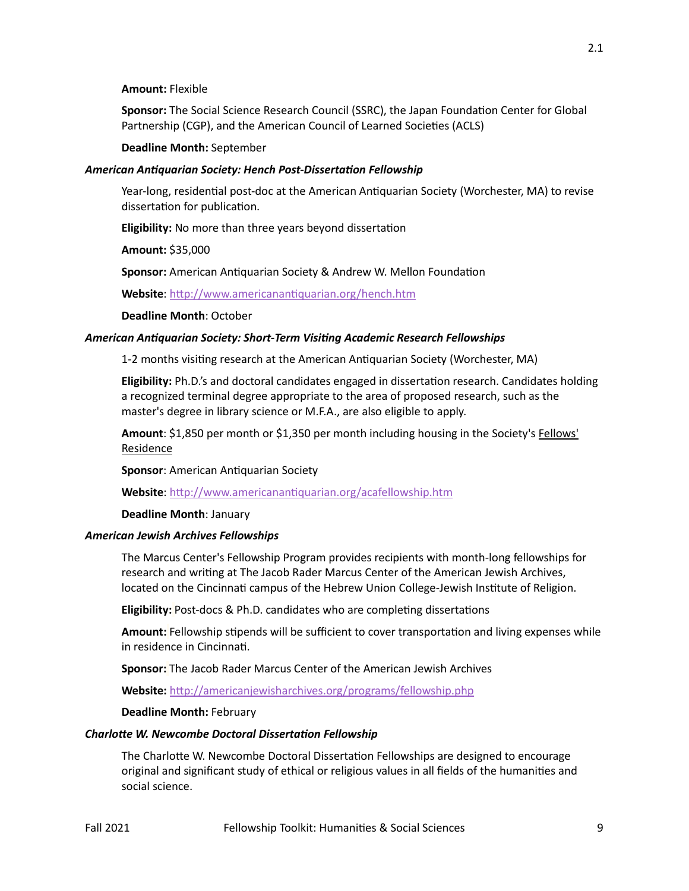#### **Amount:** Flexible

Sponsor: The Social Science Research Council (SSRC), the Japan Foundation Center for Global Partnership (CGP), and the American Council of Learned Societies (ACLS)

#### **Deadline Month:** September

#### *American Antiquarian Society: Hench Post-Dissertation Fellowship*

Year-long, residential post-doc at the American Antiquarian Society (Worchester, MA) to revise dissertation for publication.

Eligibility: No more than three years beyond dissertation

**Amount:** \$35,000

**Sponsor:** American Antiquarian Society & Andrew W. Mellon Foundation

Website: http://www.americanantiquarian.org/hench.htm

**Deadline Month**: October

#### *American Antiquarian Society: Short-Term Visiting Academic Research Fellowships*

1-2 months visiting research at the American Antiquarian Society (Worchester, MA)

**Eligibility:** Ph.D.'s and doctoral candidates engaged in disserta�on research. Candidates holding a recognized terminal degree appropriate to the area of proposed research, such as the master's degree in library science or M.F.A., are also eligible to apply.

**Amount**: \$1,850 per month or \$1,350 per month including housing in the Society's [Fellows'](http://www.americanantiquarian.org/roomrates.htm)  [Residence](http://www.americanantiquarian.org/roomrates.htm)

**Sponsor: American Antiquarian Society** 

**Website**: [htp://www.americanan�quarian.org/acafellowship.htm](http://www.americanantiquarian.org/acafellowship.htm)

**Deadline Month**: January

#### *American Jewish Archives Fellowships*

The Marcus Center's Fellowship Program provides recipients with month-long fellowships for research and writing at The Jacob Rader Marcus Center of the American Jewish Archives, located on the Cincinnati campus of the Hebrew Union College-Jewish Institute of Religion.

**Eligibility:** Post-docs & Ph.D. candidates who are completing dissertations

Amount: Fellowship stipends will be sufficient to cover transportation and living expenses while in residence in Cincinnati.

**Sponsor:** The Jacob Rader Marcus Center of the American Jewish Archives

**Website:** [htp://americanjewisharchives.org/programs/fellowship.php](http://americanjewisharchives.org/programs/fellowship.php)

#### **Deadline Month:** February

#### *Charlotte W. Newcombe Doctoral Dissertation Fellowship*

The Charlotte W. Newcombe Doctoral Dissertation Fellowships are designed to encourage original and significant study of ethical or religious values in all fields of the humani�es and social science.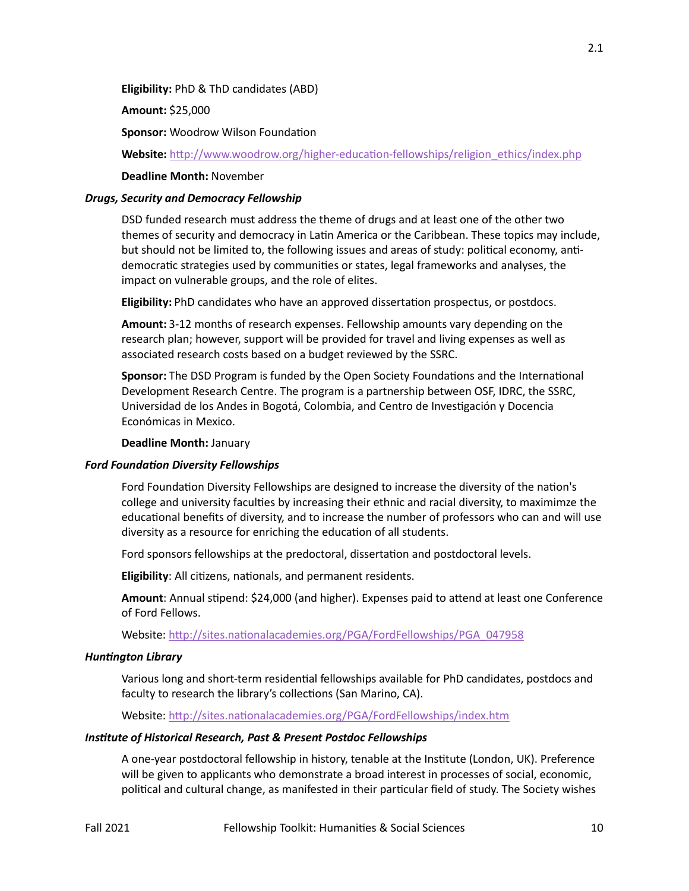**Eligibility:** PhD & ThD candidates (ABD)

**Amount:** \$25,000

**Sponsor: Woodrow Wilson Foundation** 

Website: http://www.woodrow.org/higher-education-[fellowships/religion\\_ethics/index.php](http://www.woodrow.org/higher-education-fellowships/religion_ethics/index.php)

#### **Deadline Month:** November

## *Drugs, Security and Democracy Fellowship*

DSD funded research must address the theme of drugs and at least one of the other two themes of security and democracy in Latin America or the Caribbean. These topics may include, but should not be limited to, the following issues and areas of study: political economy, antidemocratic strategies used by communities or states, legal frameworks and analyses, the impact on vulnerable groups, and the role of elites.

Eligibility: PhD candidates who have an approved dissertation prospectus, or postdocs.

**Amount:** 3-12 months of research expenses. Fellowship amounts vary depending on the research plan; however, support will be provided for travel and living expenses as well as associated research costs based on a budget reviewed by the SSRC.

**Sponsor:** The DSD Program is funded by the Open Society Foundations and the International Development Research Centre. The program is a partnership between OSF, IDRC, the SSRC, Universidad de los Andes in Bogotá, Colombia, and Centro de Inves�gación y Docencia Económicas in Mexico.

#### **Deadline Month:** January

#### *Ford Foundation Diversity Fellowships*

Ford Foundation Diversity Fellowships are designed to increase the diversity of the nation's college and university faculties by increasing their ethnic and racial diversity, to maximimze the educational benefits of diversity, and to increase the number of professors who can and will use diversity as a resource for enriching the education of all students.

Ford sponsors fellowships at the predoctoral, dissertation and postdoctoral levels.

**Eligibility:** All citizens, nationals, and permanent residents.

Amount: Annual stipend: \$24,000 (and higher). Expenses paid to attend at least one Conference of Ford Fellows.

Website: http://sites.nationalacademies.org/PGA/FordFellowships/PGA\_047958

#### *Huntington Library*

Various long and short-term residential fellowships available for PhD candidates, postdocs and faculty to research the library's collections (San Marino, CA).

Website: http://sites.nationalacademies.org/PGA/FordFellowships/index.htm

#### *Institute of Historical Research, Past & Present Postdoc Fellowships*

A one-year postdoctoral fellowship in history, tenable at the Institute (London, UK). Preference will be given to applicants who demonstrate a broad interest in processes of social, economic, political and cultural change, as manifested in their particular field of study. The Society wishes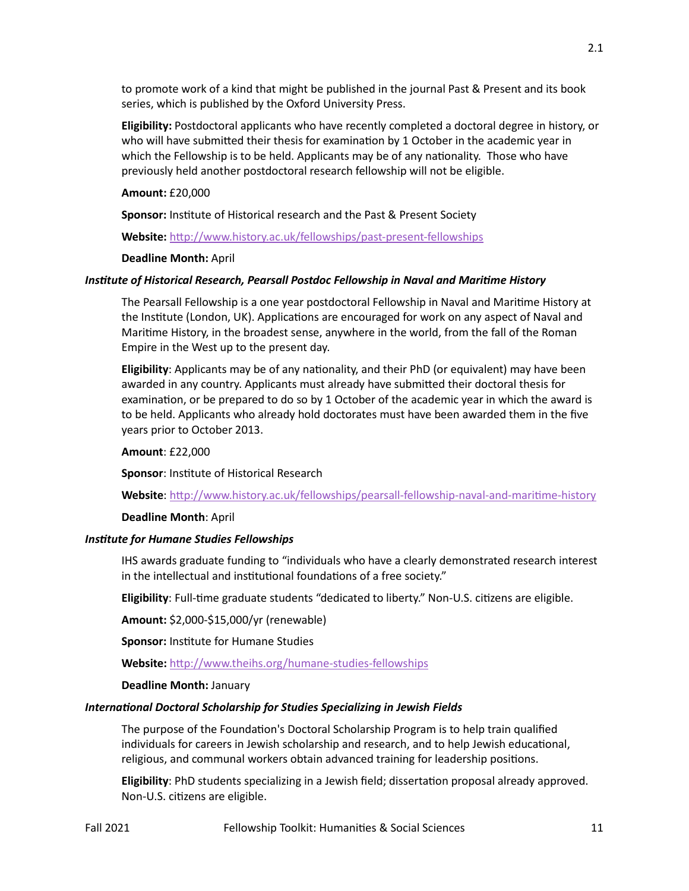to promote work of a kind that might be published in the journal Past & Present and its book series, which is published by the Oxford University Press.

**Eligibility:** Postdoctoral applicants who have recently completed a doctoral degree in history, or who will have submitted their thesis for examination by 1 October in the academic year in which the Fellowship is to be held. Applicants may be of any nationality. Those who have previously held another postdoctoral research fellowship will not be eligible.

## **Amount:** £20,000

**Sponsor:** Institute of Historical research and the Past & Present Society

**Website:** [htp://www.history.ac.uk/fellowships/past](http://www.history.ac.uk/fellowships/past-present-fellowships)-present-fellowships

## **Deadline Month:** April

## *Institute of Historical Research, Pearsall Postdoc Fellowship in Naval and Maritime History*

The Pearsall Fellowship is a one year postdoctoral Fellowship in Naval and Maritime History at the Institute (London, UK). Applications are encouraged for work on any aspect of Naval and Maritime History, in the broadest sense, anywhere in the world, from the fall of the Roman Empire in the West up to the present day.

**Eligibility**: Applicants may be of any nationality, and their PhD (or equivalent) may have been awarded in any country. Applicants must already have submited their doctoral thesis for examination, or be prepared to do so by 1 October of the academic year in which the award is to be held. Applicants who already hold doctorates must have been awarded them in the five years prior to October 2013.

## **Amount**: £22,000

**Sponsor: Institute of Historical Research** 

Website: http://www.history.ac.uk/fellowships/pearsall-fellowship-naval-and-maritime-history

## **Deadline Month**: April

## *Institute for Humane Studies Fellowships*

IHS awards graduate funding to "individuals who have a clearly demonstrated research interest in the intellectual and institutional foundations of a free society."

Eligibility: Full-time graduate students "dedicated to liberty." Non-U.S. citizens are eligible.

**Amount:** \$2,000-\$15,000/yr (renewable)

**Sponsor: Institute for Humane Studies** 

**Website:** [htp://www.theihs.org/humane](http://www.theihs.org/humane-studies-fellowships)-studies-fellowships

### **Deadline Month:** January

## *International Doctoral Scholarship for Studies Specializing in Jewish Fields*

The purpose of the Foundation's Doctoral Scholarship Program is to help train qualified individuals for careers in Jewish scholarship and research, and to help Jewish educational, religious, and communal workers obtain advanced training for leadership positions.

**Eligibility**: PhD students specializing in a Jewish field; dissertation proposal already approved. Non-U.S. citizens are eligible.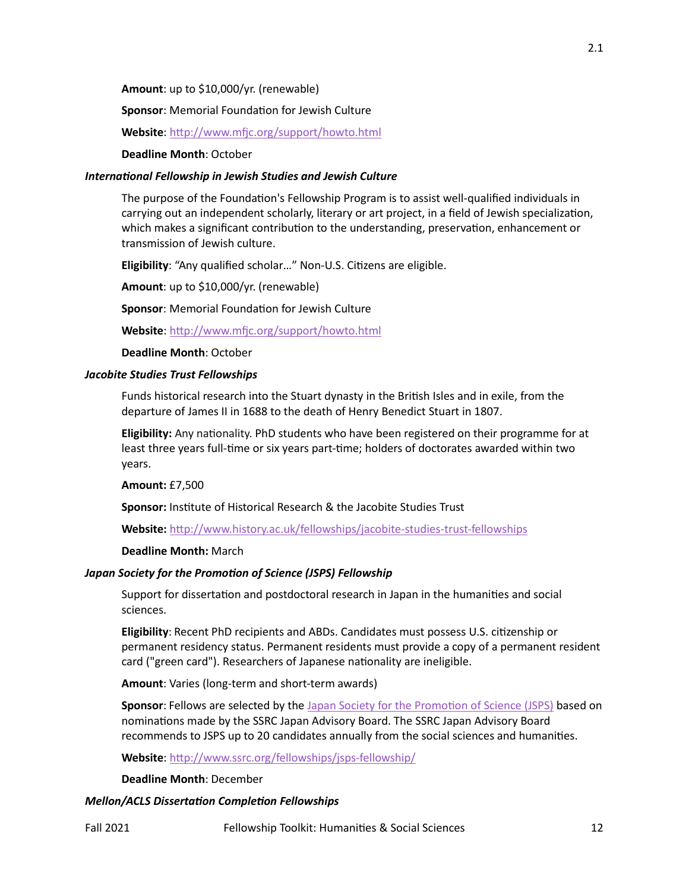**Amount**: up to \$10,000/yr. (renewable)

**Sponsor:** Memorial Foundation for Jewish Culture

**Website**: [htp://www.m�c.org/support/howto.html](http://www.mfjc.org/support/howto.html)

**Deadline Month**: October

#### *International Fellowship in Jewish Studies and Jewish Culture*

The purpose of the Foundation's Fellowship Program is to assist well-qualified individuals in carrying out an independent scholarly, literary or art project, in a field of Jewish specialization, which makes a significant contribution to the understanding, preservation, enhancement or transmission of Jewish culture.

Eligibility: "Any qualified scholar..." Non-U.S. Citizens are eligible.

**Amount**: up to \$10,000/yr. (renewable)

**Sponsor:** Memorial Foundation for Jewish Culture

**Website**: [htp://www.m�c.org/support/howto.html](http://www.mfjc.org/support/howto.html)

**Deadline Month**: October

#### *Jacobite Studies Trust Fellowships*

Funds historical research into the Stuart dynasty in the British Isles and in exile, from the departure of James II in 1688 to the death of Henry Benedict Stuart in 1807.

**Eligibility:** Any nationality. PhD students who have been registered on their programme for at least three years full-time or six years part-time; holders of doctorates awarded within two years.

**Amount:** £7,500

Sponsor: Institute of Historical Research & the Jacobite Studies Trust

**Website:** [htp://www.history.ac.uk/fellowships/jacobite](http://www.history.ac.uk/fellowships/jacobite-studies-trust-fellowships)-studies-trust-fellowships

## **Deadline Month:** March

#### *Japan Society for the Promotion of Science (JSPS) Fellowship*

Support for dissertation and postdoctoral research in Japan in the humanities and social sciences.

**Eligibility**: Recent PhD recipients and ABDs. Candidates must possess U.S. citizenship or permanent residency status. Permanent residents must provide a copy of a permanent resident card ("green card"). Researchers of Japanese nationality are ineligible.

**Amount**: Varies (long-term and short-term awards)

Sponsor: Fellows are selected by the Japan Society for the Promotion of Science (JSPS) based on nominations made by the SSRC Japan Advisory Board. The SSRC Japan Advisory Board recommends to JSPS up to 20 candidates annually from the social sciences and humani�es.

**Website**: [htp://www.ssrc.org/fellowships/jsps](http://www.ssrc.org/fellowships/jsps-fellowship/)-fellowship/

**Deadline Month**: December

### *Mellon/ACLS Dissertation Completion Fellowships*

2.1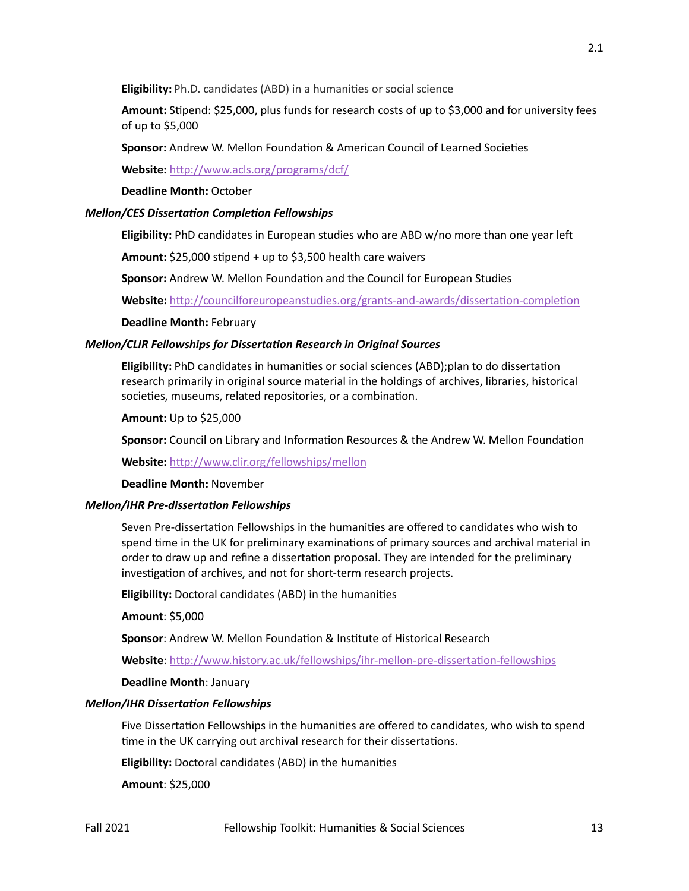**Eligibility:** Ph.D. candidates (ABD) in a humanities or social science

Amount: Stipend: \$25,000, plus funds for research costs of up to \$3,000 and for university fees of up to \$5,000

**Sponsor:** Andrew W. Mellon Foundation & American Council of Learned Societies

**Website:** [htp://www.acls.org/programs/dcf/](http://www.acls.org/programs/dcf/)

**Deadline Month:** October

## *Mellon/CES Dissertation Completion Fellowships*

Eligibility: PhD candidates in European studies who are ABD w/no more than one year left

Amount: \$25,000 stipend + up to \$3,500 health care waivers

Sponsor: Andrew W. Mellon Foundation and the Council for European Studies

Website: http://councilforeuropeanstudies.org/grants-and-awards/dissertation-completion

## **Deadline Month:** February

## *Mellon/CLIR Fellowships for Dissertation Research in Original Sources*

**Eligibility:** PhD candidates in humanities or social sciences (ABD);plan to do dissertation research primarily in original source material in the holdings of archives, libraries, historical societies, museums, related repositories, or a combination.

**Amount:** Up to \$25,000

Sponsor: Council on Library and Information Resources & the Andrew W. Mellon Foundation

**Website:** [htp://www.clir.org/fellowships/mellon](http://www.clir.org/fellowships/mellon)

### **Deadline Month:** November

### *Mellon/IHR Pre-dissertation Fellowships*

Seven Pre-dissertation Fellowships in the humanities are offered to candidates who wish to spend time in the UK for preliminary examinations of primary sources and archival material in order to draw up and refine a dissertation proposal. They are intended for the preliminary investigation of archives, and not for short-term research projects.

**Eligibility:** Doctoral candidates (ABD) in the humani�es

**Amount**: \$5,000

**Sponsor: Andrew W. Mellon Foundation & Institute of Historical Research** 

Website: http://www.history.ac.uk/fellowships/ihr-mellon-pre-dissertation-fellowships

**Deadline Month**: January

### *Mellon/IHR Dissertation Fellowships*

Five Dissertation Fellowships in the humanities are offered to candidates, who wish to spend time in the UK carrying out archival research for their dissertations.

**Eligibility:** Doctoral candidates (ABD) in the humani�es

**Amount**: \$25,000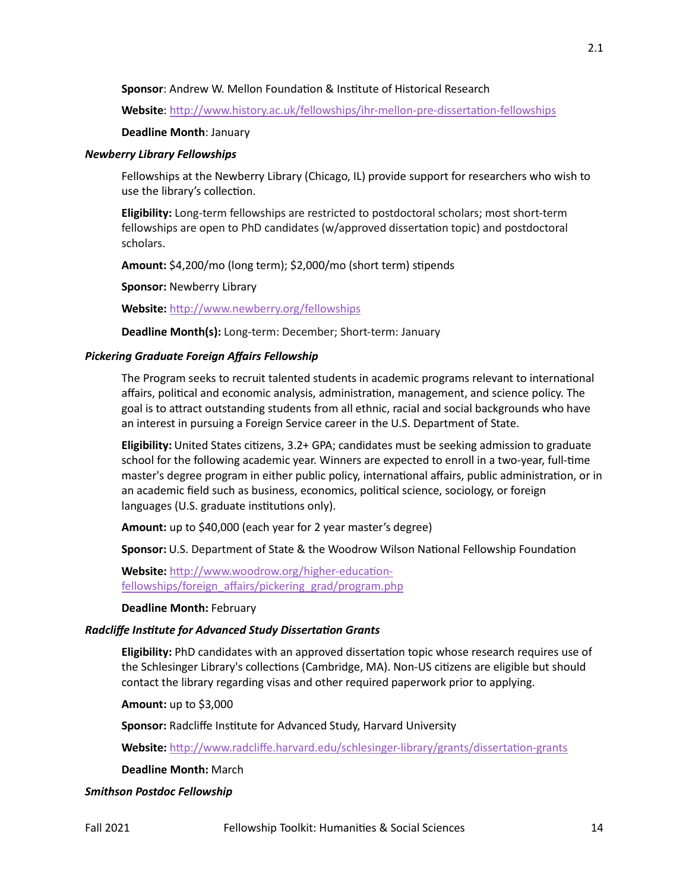## **Sponsor:** Andrew W. Mellon Foundation & Institute of Historical Research

Website: http://www.history.ac.uk/fellowships/ihr-mellon-pre-dissertation-fellowships

### **Deadline Month**: January

#### *Newberry Library Fellowships*

Fellowships at the Newberry Library (Chicago, IL) provide support for researchers who wish to use the library's collection.

**Eligibility:** Long-term fellowships are restricted to postdoctoral scholars; most short-term fellowships are open to PhD candidates (w/approved dissertation topic) and postdoctoral scholars.

Amount: \$4,200/mo (long term); \$2,000/mo (short term) stipends

**Sponsor:** Newberry Library

**Website:** [htp://www.newberry.org/fellowships](http://www.newberry.org/fellowships)

**Deadline Month(s):** Long-term: December; Short-term: January

### *Pickering Graduate Foreign Affairs Fellowship*

The Program seeks to recruit talented students in academic programs relevant to international affairs, political and economic analysis, administration, management, and science policy. The goal is to atract outstanding students from all ethnic, racial and social backgrounds who have an interest in pursuing a Foreign Service career in the U.S. Department of State.

**Eligibility:** United States citizens, 3.2+ GPA; candidates must be seeking admission to graduate school for the following academic year. Winners are expected to enroll in a two-year, full-time master's degree program in either public policy, international affairs, public administration, or in an academic field such as business, economics, political science, sociology, or foreign languages (U.S. graduate institutions only).

**Amount:** up to \$40,000 (each year for 2 year master's degree)

**Sponsor:** U.S. Department of State & the Woodrow Wilson National Fellowship Foundation

Website: http://www.woodrow.org/higher-education[fellowships/foreign\\_affairs/pickering\\_grad/progra](http://www.woodrow.org/higher-education-fellowships/foreign_affairs/pickering_grad/program.php)m.php

**Deadline Month:** February

### *Radcliffe Institute for Advanced Study Dissertation Grants*

**Eligibility:** PhD candidates with an approved disserta�on topic whose research requires use of the Schlesinger Library's collections (Cambridge, MA). Non-US citizens are eligible but should contact the library regarding visas and other required paperwork prior to applying.

**Amount:** up to \$3,000

Sponsor: Radcliffe Institute for Advanced Study, Harvard University

Website: http://www.radcliffe.harvard.edu/schlesinger-library/grants/dissertation-grants

**Deadline Month:** March

### *Smithson Postdoc Fellowship*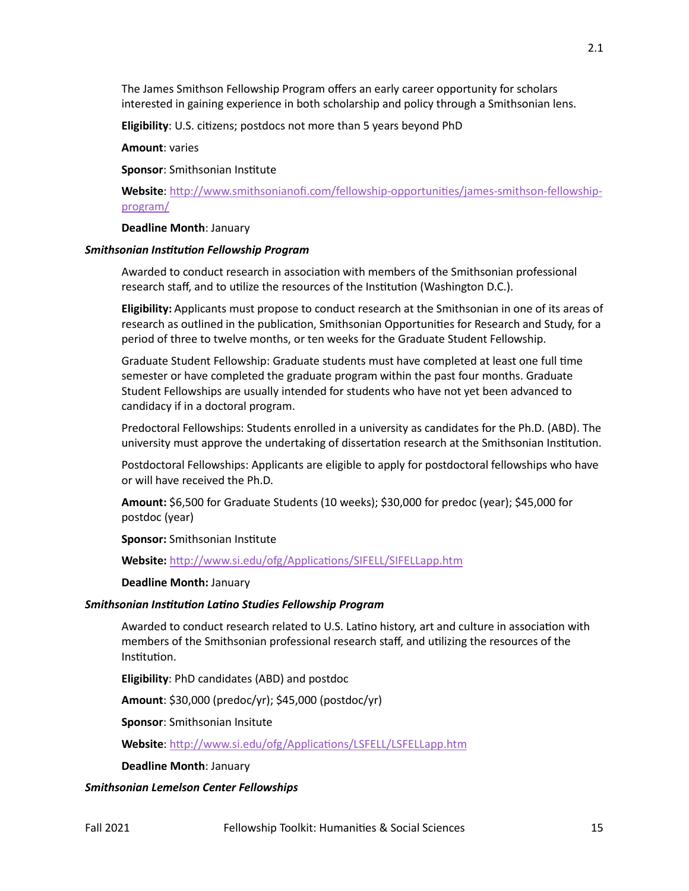The James Smithson Fellowship Program offers an early career opportunity for scholars interested in gaining experience in both scholarship and policy through a Smithsonian lens.

**Eligibility:** U.S. citizens; postdocs not more than 5 years beyond PhD

**Amount**: varies

**Sponsor:** Smithsonian Institute

**Website**: [htp://www.smithsonianofi.com/fellowship](http://www.smithsonianofi.com/fellowship-opportunities/james-smithson-fellowship-program/)-opportuni�es/james-smithson-fellowship[program/](http://www.smithsonianofi.com/fellowship-opportunities/james-smithson-fellowship-program/)

**Deadline Month**: January

#### *Smithsonian Institution Fellowship Program*

Awarded to conduct research in association with members of the Smithsonian professional research staff, and to utilize the resources of the Institution (Washington D.C.).

**Eligibility:** Applicants must propose to conduct research at the Smithsonian in one of its areas of research as outlined in the publication, Smithsonian Opportunities for Research and Study, for a period of three to twelve months, or ten weeks for the Graduate Student Fellowship.

Graduate Student Fellowship: Graduate students must have completed at least one full time semester or have completed the graduate program within the past four months. Graduate Student Fellowships are usually intended for students who have not yet been advanced to candidacy if in a doctoral program.

Predoctoral Fellowships: Students enrolled in a university as candidates for the Ph.D. (ABD). The university must approve the undertaking of dissertation research at the Smithsonian Institution.

Postdoctoral Fellowships: Applicants are eligible to apply for postdoctoral fellowships who have or will have received the Ph.D.

**Amount:** \$6,500 for Graduate Students (10 weeks); \$30,000 for predoc (year); \$45,000 for postdoc (year)

**Sponsor: Smithsonian Institute** 

Website: http://www.si.edu/ofg/Applications/SIFELL/SIFELLapp.htm

#### **Deadline Month:** January

## *Smithsonian Institution Latino Studies Fellowship Program*

Awarded to conduct research related to U.S. Latino history, art and culture in association with members of the Smithsonian professional research staff, and utilizing the resources of the Institution.

**Eligibility**: PhD candidates (ABD) and postdoc

**Amount**: \$30,000 (predoc/yr); \$45,000 (postdoc/yr)

**Sponsor**: Smithsonian Insitute

Website: http://www.si.edu/ofg/Applications/LSFELL/LSFELLapp.htm

**Deadline Month**: January

#### *Smithsonian Lemelson Center Fellowships*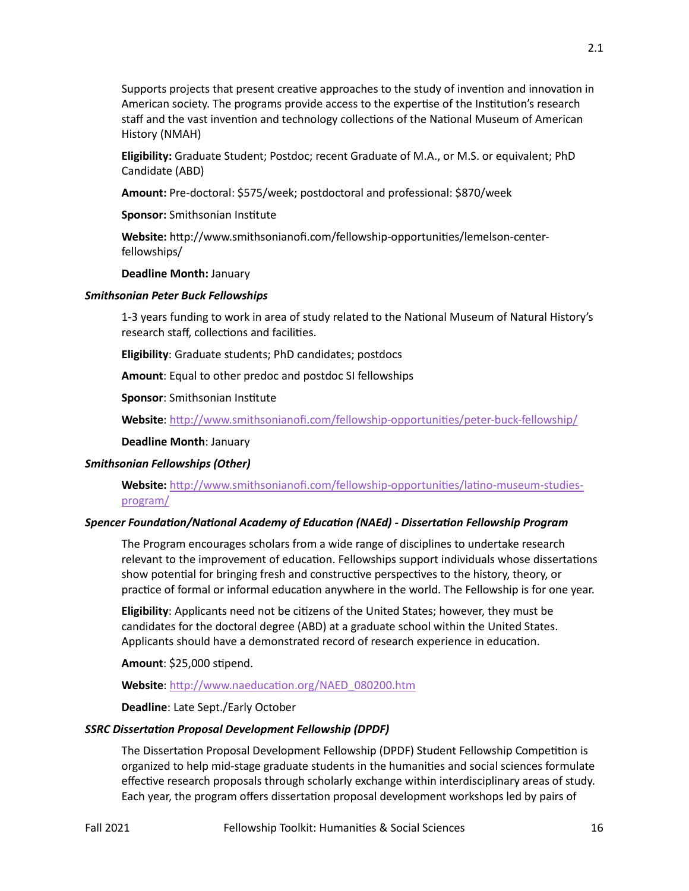Supports projects that present creative approaches to the study of invention and innovation in American society. The programs provide access to the expertise of the Institution's research staff and the vast invention and technology collections of the National Museum of American History (NMAH)

**Eligibility:** Graduate Student; Postdoc; recent Graduate of M.A., or M.S. or equivalent; PhD Candidate (ABD)

**Amount:** Pre-doctoral: \$575/week; postdoctoral and professional: \$870/week

**Sponsor:** Smithsonian Institute

**Website:** htp://www.smithsonianofi.com/fellowship-opportuni�es/lemelson-centerfellowships/

**Deadline Month:** January

### *Smithsonian Peter Buck Fellowships*

1-3 years funding to work in area of study related to the National Museum of Natural History's research staff, collections and facilities.

**Eligibility**: Graduate students; PhD candidates; postdocs

**Amount**: Equal to other predoc and postdoc SI fellowships

**Sponsor: Smithsonian Institute** 

**Website**: [htp://www.smithsonianofi.com/fellowship](http://www.smithsonianofi.com/fellowship-opportunities/peter-buck-fellowship/)-opportuni�es/peter-buck-fellowship/

**Deadline Month**: January

### *Smithsonian Fellowships (Other)*

Website: http://www.smithsonianofi.com/fellowship-opportunities/latino-museum-studies[program/](http://www.smithsonianofi.com/fellowship-opportunities/latino-museum-studies-program/)

### *Spencer Foundation/National Academy of Education (NAEd) - Dissertation Fellowship Program*

The Program encourages scholars from a wide range of disciplines to undertake research relevant to the improvement of education. Fellowships support individuals whose dissertations show potential for bringing fresh and constructive perspectives to the history, theory, or practice of formal or informal education anywhere in the world. The Fellowship is for one year.

**Eligibility**: Applicants need not be citizens of the United States; however, they must be candidates for the doctoral degree (ABD) at a graduate school within the United States. Applicants should have a demonstrated record of research experience in education.

**Amount: \$25,000 stipend.** 

Website: http://www.naeducation.org/NAED\_080200.htm

**Deadline**: Late Sept./Early October

### *SSRC Dissertation Proposal Development Fellowship (DPDF)*

The Dissertation Proposal Development Fellowship (DPDF) Student Fellowship Competition is organized to help mid-stage graduate students in the humani�es and social sciences formulate effective research proposals through scholarly exchange within interdisciplinary areas of study. Each year, the program offers disserta�on proposal development workshops led by pairs of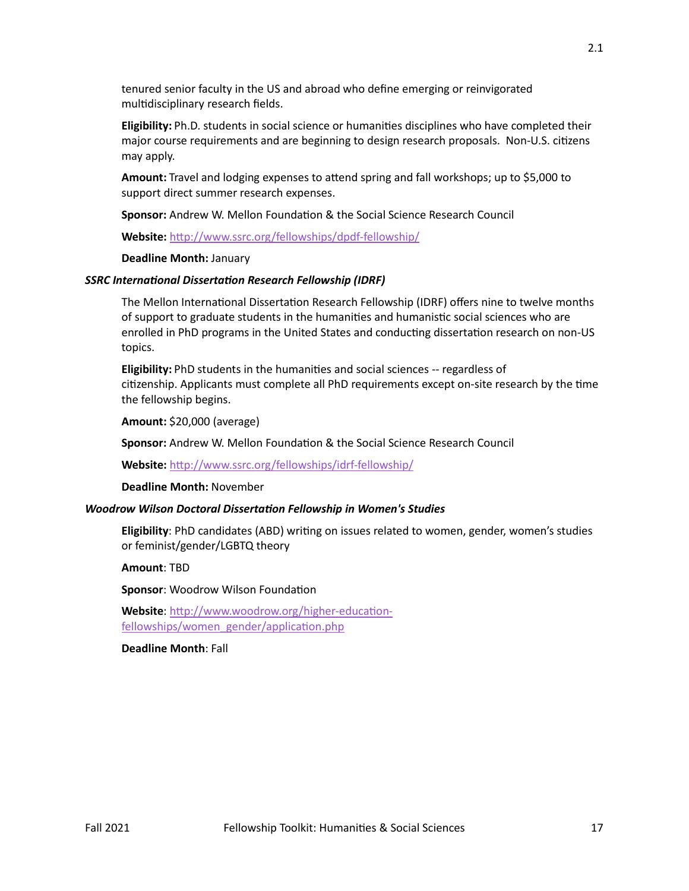tenured senior faculty in the US and abroad who define emerging or reinvigorated multidisciplinary research fields.

**Eligibility:** Ph.D. students in social science or humani�es disciplines who have completed their major course requirements and are beginning to design research proposals. Non-U.S. citizens may apply.

**Amount:** Travel and lodging expenses to atend spring and fall workshops; up to \$5,000 to support direct summer research expenses.

**Sponsor:** Andrew W. Mellon Foundation & the Social Science Research Council

**Website:** [htp://www.ssrc.org/fellowships/dpdf](http://www.ssrc.org/fellowships/dpdf-fellowship/)-fellowship/

**Deadline Month:** January

#### *SSRC International Dissertation Research Fellowship (IDRF)*

The Mellon International Dissertation Research Fellowship (IDRF) offers nine to twelve months of support to graduate students in the humanities and humanistic social sciences who are enrolled in PhD programs in the United States and conducting dissertation research on non-US topics.

**Eligibility:** PhD students in the humani�es and social sciences -- regardless of citizenship. Applicants must complete all PhD requirements except on-site research by the time the fellowship begins.

**Amount:** \$20,000 (average)

**Sponsor:** Andrew W. Mellon Foundation & the Social Science Research Council

**Website:** [htp://www.ssrc.org/fellowships/idrf](http://www.ssrc.org/fellowships/idrf-fellowship/)-fellowship/

**Deadline Month:** November

#### *Woodrow Wilson Doctoral Dissertation Fellowship in Women's Studies*

**Eligibility**: PhD candidates (ABD) wri�ng on issues related to women, gender, women's studies or feminist/gender/LGBTQ theory

**Amount**: TBD

**Sponsor: Woodrow Wilson Foundation** 

Website: http://www.woodrow.org/higher-educationfellowships/women\_gender/application.php

**Deadline Month**: Fall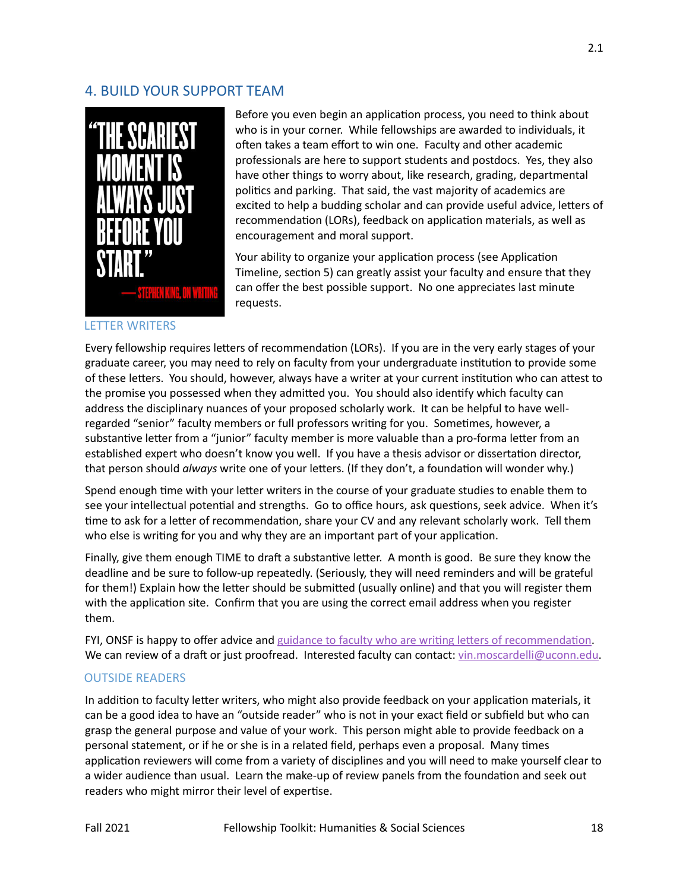## 4. BUILD YOUR SUPPORT TEAM



Before you even begin an application process, you need to think about who is in your corner. While fellowships are awarded to individuals, it often takes a team effort to win one. Faculty and other academic professionals are here to support students and postdocs. Yes, they also have other things to worry about, like research, grading, departmental politics and parking. That said, the vast majority of academics are excited to help a budding scholar and can provide useful advice, letters of recommendation (LORs), feedback on application materials, as well as encouragement and moral support.

Your ability to organize your application process (see Application Timeline, section 5) can greatly assist your faculty and ensure that they can offer the best possible support. No one appreciates last minute requests.

### LETTER WRITERS

Every fellowship requires letters of recommendation (LORs). If you are in the very early stages of your graduate career, you may need to rely on faculty from your undergraduate institution to provide some of these letters. You should, however, always have a writer at your current institution who can attest to the promise you possessed when they admited you. You should also iden�fy which faculty can address the disciplinary nuances of your proposed scholarly work. It can be helpful to have wellregarded "senior" faculty members or full professors writing for you. Sometimes, however, a substantive letter from a "junior" faculty member is more valuable than a pro-forma letter from an established expert who doesn't know you well. If you have a thesis advisor or dissertation director, that person should *always* write one of your letters. (If they don't, a foundation will wonder why.)

Spend enough time with your letter writers in the course of your graduate studies to enable them to see your intellectual potential and strengths. Go to office hours, ask questions, seek advice. When it's time to ask for a letter of recommendation, share your CV and any relevant scholarly work. Tell them who else is writing for you and why they are an important part of your application.

Finally, give them enough TIME to draft a substantive letter. A month is good. Be sure they know the deadline and be sure to follow-up repeatedly. (Seriously, they will need reminders and will be grateful for them!) Explain how the letter should be submitted (usually online) and that you will register them with the application site. Confirm that you are using the correct email address when you register them.

FYI, ONSF is happy to offer advice and guidance to faculty who are writing letters of recommendation. We can review of a draft or just proofread. Interested faculty can contact: [vin.moscardelli@uconn.edu](mailto:vin.moscardelli@uconn.edu).

### OUTSIDE READERS

In addition to faculty letter writers, who might also provide feedback on your application materials, it can be a good idea to have an "outside reader" who is not in your exact field or subfield but who can grasp the general purpose and value of your work. This person might able to provide feedback on a personal statement, or if he or she is in a related field, perhaps even a proposal. Many times application reviewers will come from a variety of disciplines and you will need to make yourself clear to a wider audience than usual. Learn the make-up of review panels from the foundation and seek out readers who might mirror their level of expertise.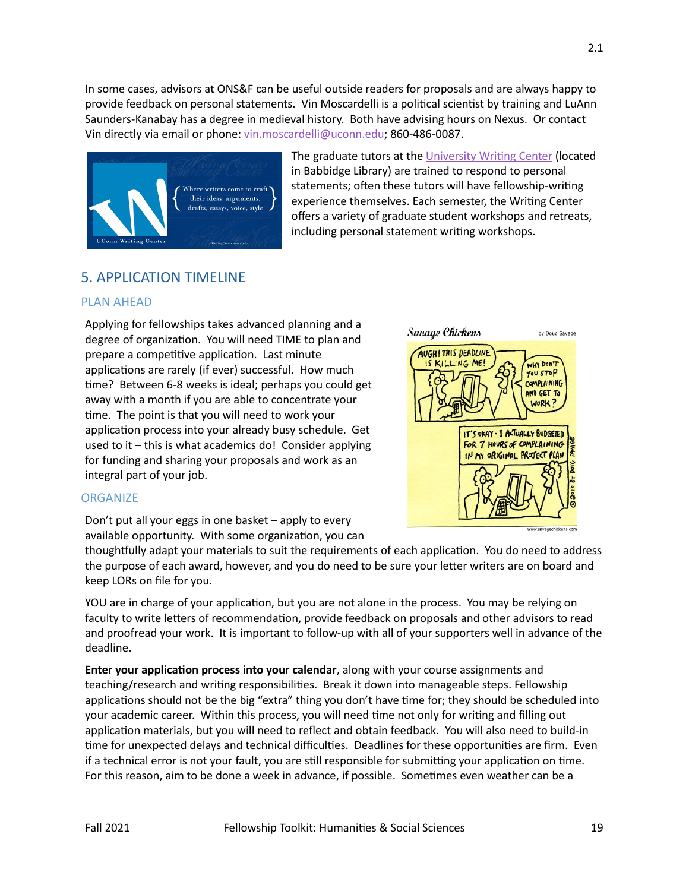In some cases, advisors at ONS&F can be useful outside readers for proposals and are always happy to provide feedback on personal statements. Vin Moscardelli is a political scientist by training and LuAnn Saunders-Kanabay has a degree in medieval history. Both have advising hours on Nexus. Or contact Vin directly via email or phone: [vin.moscardelli@uconn.edu;](mailto:vin.moscardelli@uconn.edu) 860-486-0087.



The graduate tutors at the University Writing Center (located in Babbidge Library) are trained to respond to personal statements; often these tutors will have fellowship-writing experience themselves. Each semester, the Writing Center offers a variety of graduate student workshops and retreats, including personal statement writing workshops.

# 5. APPLICATION TIMELINE

## PLAN AHEAD

Applying for fellowships takes advanced planning and a degree of organization. You will need TIME to plan and prepare a competitive application. Last minute applications are rarely (if ever) successful. How much time? Between 6-8 weeks is ideal; perhaps you could get away with a month if you are able to concentrate your time. The point is that you will need to work your application process into your already busy schedule. Get used to it – this is what academics do! Consider applying for funding and sharing your proposals and work as an integral part of your job.



## **ORGANIZE**

Don't put all your eggs in one basket – apply to every available opportunity. With some organization, you can

thoughtfully adapt your materials to suit the requirements of each application. You do need to address the purpose of each award, however, and you do need to be sure your letter writers are on board and keep LORs on file for you.

YOU are in charge of your application, but you are not alone in the process. You may be relying on faculty to write letters of recommendation, provide feedback on proposals and other advisors to read and proofread your work. It is important to follow-up with all of your supporters well in advance of the deadline.

**Enter your application process into your calendar**, along with your course assignments and teaching/research and writing responsibilities. Break it down into manageable steps. Fellowship applications should not be the big "extra" thing you don't have time for; they should be scheduled into your academic career. Within this process, you will need time not only for writing and filling out application materials, but you will need to reflect and obtain feedback. You will also need to build-in time for unexpected delays and technical difficulties. Deadlines for these opportunities are firm. Even if a technical error is not your fault, you are still responsible for submitting your application on time. For this reason, aim to be done a week in advance, if possible. Sometimes even weather can be a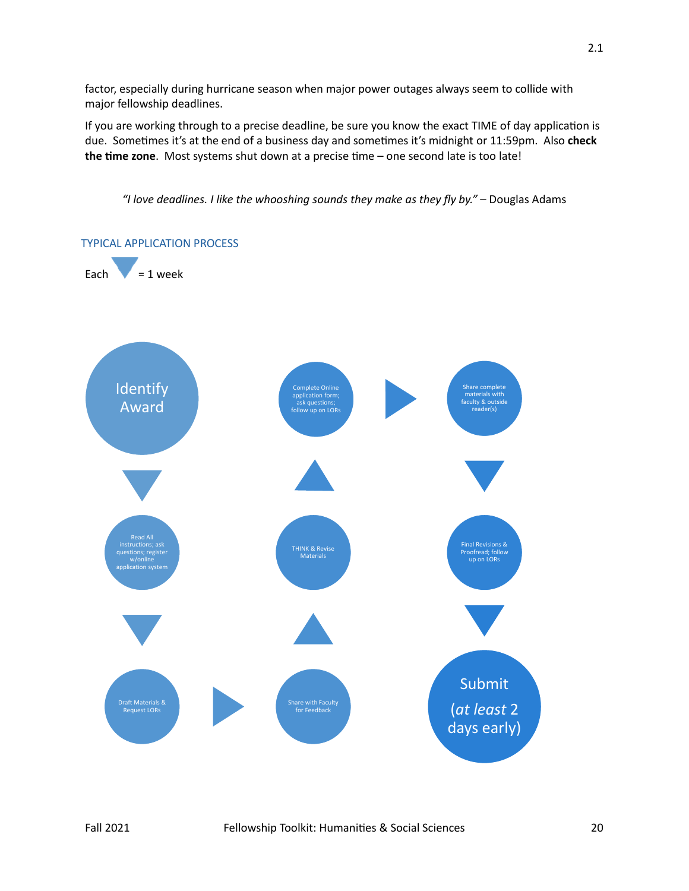factor, especially during hurricane season when major power outages always seem to collide with major fellowship deadlines.

If you are working through to a precise deadline, be sure you know the exact TIME of day application is due. Sometimes it's at the end of a business day and sometimes it's midnight or 11:59pm. Also check the time zone. Most systems shut down at a precise time – one second late is too late!

*"I love deadlines. I like the whooshing sounds they make as they fly by."* – Douglas Adams

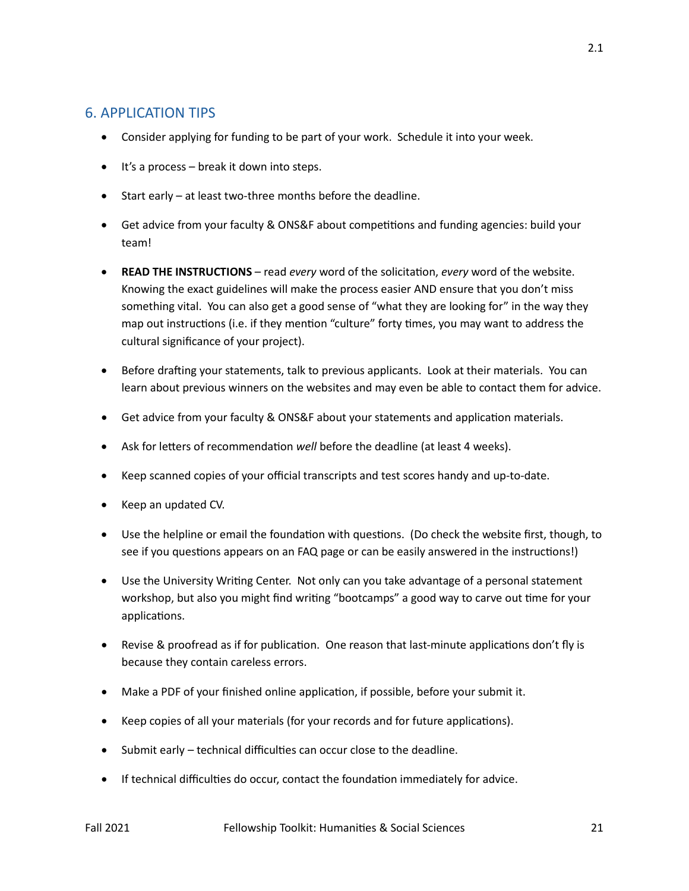## 6. APPLICATION TIPS

- Consider applying for funding to be part of your work. Schedule it into your week.
- It's a process break it down into steps.
- Start early at least two-three months before the deadline.
- Get advice from your faculty & ONS&F about competitions and funding agencies: build your team!
- **READ THE INSTRUCTIONS** read *every* word of the solicita�on, *every* word of the website. Knowing the exact guidelines will make the process easier AND ensure that you don't miss something vital. You can also get a good sense of "what they are looking for" in the way they map out instructions (i.e. if they mention "culture" forty times, you may want to address the cultural significance of your project).
- Before drafting your statements, talk to previous applicants. Look at their materials. You can learn about previous winners on the websites and may even be able to contact them for advice.
- Get advice from your faculty & ONS&F about your statements and application materials.
- Ask for letters of recommendation *well* before the deadline (at least 4 weeks).
- Keep scanned copies of your official transcripts and test scores handy and up-to-date.
- Keep an updated CV.
- Use the helpline or email the foundation with questions. (Do check the website first, though, to see if you questions appears on an FAQ page or can be easily answered in the instructions!)
- Use the University Writing Center. Not only can you take advantage of a personal statement workshop, but also you might find writing "bootcamps" a good way to carve out time for your applications.
- Revise & proofread as if for publication. One reason that last-minute applications don't fly is because they contain careless errors.
- Make a PDF of your finished online application, if possible, before your submit it.
- Keep copies of all your materials (for your records and for future applications).
- Submit early technical difficulties can occur close to the deadline.
- If technical difficulties do occur, contact the foundation immediately for advice.